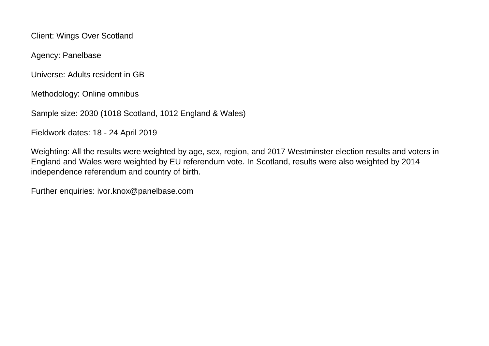Client: Wings Over Scotland

Agency: Panelbase

Universe: Adults resident in GB

Methodology: Online omnibus

Sample size: 2030 (1018 Scotland, 1012 England & Wales)

Fieldwork dates: 18 - 24 April 2019

Weighting: All the results were weighted by age, sex, region, and 2017 Westminster election results and voters in England and Wales were weighted by EU referendum vote. In Scotland, results were also weighted by 2014 independence referendum and country of birth.

Further enquiries: ivor.knox@panelbase.com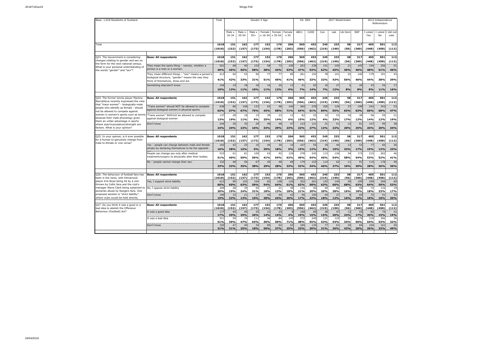| Male ><br>Male ><br>Male x<br>Female<br>Female<br>Female<br>ABC1<br>C <sub>2</sub> DE<br>Con<br>Lab<br>Lib Dem<br>SNP<br>I voted<br>I voted<br>I did not<br>$16 - 34$<br>$35 - 54$<br>$55+$<br>x 16-34 x 35-54<br>No<br>x 55<br>Yes<br>vote<br>162<br>177<br>170<br>453<br>245<br>233<br>317<br>1018<br>151<br>152<br>206<br>565<br>58<br>405<br>501<br>112<br>Total<br>(152)<br>(157)<br>(173)<br>(154)<br>(203)<br>(219)<br>(190)<br>(448)<br>(458)<br>(112)<br>(1018)<br>(178)<br>(556)<br>(462)<br>(56)<br>(360)<br>170<br>565<br>233<br>317<br>112<br>Q23. The Government is considering<br><b>Base: All respondents</b><br>1018<br>151<br>162<br>177<br>152<br>206<br>453<br>245<br>58<br>405<br>501<br>changes relating to gender and sex on<br>(152)<br>(157)<br>(173)<br>(154)<br>(178)<br>(203)<br>(556)<br>(462)<br>(219)<br>(190)<br>(56)<br>(360)<br>(448)<br>(458)<br>(112)<br>(1018)<br>the form for the next national census.<br>51<br>105<br>21<br>501<br>58<br>73<br>109<br>263<br>238<br>145<br>256<br>68<br>90<br>103<br>151<br>194<br>They mean the same thing - namely, whether a<br>What is your personal understanding of<br>person is a man or a woman.<br>46%<br>49%<br>45%<br>56%<br>58%<br>38%<br>43%<br>53%<br>47%<br>53%<br>62%<br>45%<br>36%<br>46%<br>48%<br>51%<br>the words "gender" and "sex"?<br>53<br>77<br>78<br>32<br>146<br>191<br>413<br>64<br>56<br>77<br>85<br>261<br>152<br>101<br>179<br>43<br>They mean different things - "sex" means a person's<br>biological structure, "gender" means the way they<br>41%<br>42%<br>33%<br>31%<br>45%<br>41%<br>43%<br>56%<br>46%<br>38%<br>39%<br>51%<br>46%<br>33%<br>32%<br>44%<br>think of themselves, dress and act.<br>Something else/don't know<br>17<br>104<br>20<br>12<br>26<br>33<br>54<br>19<br>18<br>41<br>63<br>16<br>27<br>18<br>16<br>12%<br>6%<br>8%<br>8%<br>10%<br>13%<br>11%<br>10%<br>11%<br>7%<br>14%<br>7%<br>12%<br>8%<br>11%<br>16%<br>1018<br>151<br>162<br>177<br>152<br>170<br>206<br>565<br>453<br>245<br>233<br>58<br>317<br>405<br>501<br>112<br>Q24. The former tennis player Martina<br><b>Base: All respondents</b><br>Navratilova recently expressed the view<br>(152)<br>(157)<br>(173)<br>(219)<br>(190)<br>(360)<br>(448)<br>(1018)<br>(154)<br>(178)<br>(203)<br>(556)<br>(462)<br>(56)<br>(458)<br>(112)<br>that "trans women" - biologically-male<br>53<br>98<br>360<br>129<br>37<br>198<br>343<br>'Trans women" should NOT be allowed to compete<br>638<br>86<br>108<br>133<br>65<br>146<br>278<br>205<br>242<br>people who identify as female - should<br>against biological women in physical sports<br>63%<br>57%<br>67%<br>75%<br>43%<br>58%<br>71%<br>64%<br>61%<br>84%<br>55%<br>63%<br>63%<br>60%<br>68%<br>47%<br>not be allowed to compete against<br>women in women's sports such as tennis<br>82<br>38<br>59<br>"Trans women" SHOULD be allowed to compete<br>137<br>28<br>39<br>23<br>12<br>55<br>10<br>53<br>10<br>56<br>21<br>18<br>15<br>because their male physiology gives<br>against biological women<br>13%<br>19%<br>11%<br>9%<br>25%<br>14%<br>6%<br>15%<br>12%<br>4%<br>23%<br>17%<br>12%<br>14%<br>12%<br>19%<br>them an unfair advantage in sports<br>244<br>48<br>31<br>51<br>107<br>99<br>38<br>36<br>35<br>29<br>48<br>47<br>123<br>121<br>12<br>81<br>Don't know<br>where size/musculature/strength are<br>factors. What is your opinion?<br>24%<br>22%<br>32%<br>29%<br>23%<br>22%<br>27%<br>22%<br>20%<br>25%<br>26%<br>24%<br>16%<br>12%<br>20%<br>34%<br>162<br>233<br>112<br><b>Base: All respondents</b><br>1018<br>151<br>177<br>152<br>170<br>206<br>565<br>453<br>245<br>58<br>317<br>405<br>501<br>Q25. In your opinion, is it ever possible<br>for a human to genuinely change from<br>(190)<br>(56)<br>(458)<br>(112)<br>(1018)<br>(152)<br>(157)<br>(173)<br>(154)<br>(178)<br>(203)<br>(556)<br>(462)<br>(219)<br>(360)<br>(448)<br>male to female or vice versa?<br>42<br>25<br>10<br>44<br>30<br>10<br>107<br>55<br>18<br>44<br>13<br>53<br>77<br>60<br>26<br>Yes - people can change between male and female<br>163<br>simply by declaring themselves to be the opposite |
|--------------------------------------------------------------------------------------------------------------------------------------------------------------------------------------------------------------------------------------------------------------------------------------------------------------------------------------------------------------------------------------------------------------------------------------------------------------------------------------------------------------------------------------------------------------------------------------------------------------------------------------------------------------------------------------------------------------------------------------------------------------------------------------------------------------------------------------------------------------------------------------------------------------------------------------------------------------------------------------------------------------------------------------------------------------------------------------------------------------------------------------------------------------------------------------------------------------------------------------------------------------------------------------------------------------------------------------------------------------------------------------------------------------------------------------------------------------------------------------------------------------------------------------------------------------------------------------------------------------------------------------------------------------------------------------------------------------------------------------------------------------------------------------------------------------------------------------------------------------------------------------------------------------------------------------------------------------------------------------------------------------------------------------------------------------------------------------------------------------------------------------------------------------------------------------------------------------------------------------------------------------------------------------------------------------------------------------------------------------------------------------------------------------------------------------------------------------------------------------------------------------------------------------------------------------------------------------------------------------------------------------------------------------------------------------------------------------------------------------------------------------------------------------------------------------------------------------------------------------------------------------------------------------------------------------------------------------------------------------------------------------------------------------------------------------------------------------------------------------------------------------------------------------------------------------------------------------------------------------------------------------------------------------------------------------------------------------------------------------------------------------------------------------------------------------------------------------------------------------------------------------------------------------------------------------------------------------------------------------------------------------------------------------------------------------------------------------------------------------------------------------------------------------------------------------------------------------------------------------------------------------------------------------------------------------------------------------------------------------------------------------------------------------------------------------------------------------------------------------------------------------------------|
|                                                                                                                                                                                                                                                                                                                                                                                                                                                                                                                                                                                                                                                                                                                                                                                                                                                                                                                                                                                                                                                                                                                                                                                                                                                                                                                                                                                                                                                                                                                                                                                                                                                                                                                                                                                                                                                                                                                                                                                                                                                                                                                                                                                                                                                                                                                                                                                                                                                                                                                                                                                                                                                                                                                                                                                                                                                                                                                                                                                                                                                                                                                                                                                                                                                                                                                                                                                                                                                                                                                                                                                                                                                                                                                                                                                                                                                                                                                                                                                                                                                                                                                                                  |
|                                                                                                                                                                                                                                                                                                                                                                                                                                                                                                                                                                                                                                                                                                                                                                                                                                                                                                                                                                                                                                                                                                                                                                                                                                                                                                                                                                                                                                                                                                                                                                                                                                                                                                                                                                                                                                                                                                                                                                                                                                                                                                                                                                                                                                                                                                                                                                                                                                                                                                                                                                                                                                                                                                                                                                                                                                                                                                                                                                                                                                                                                                                                                                                                                                                                                                                                                                                                                                                                                                                                                                                                                                                                                                                                                                                                                                                                                                                                                                                                                                                                                                                                                  |
|                                                                                                                                                                                                                                                                                                                                                                                                                                                                                                                                                                                                                                                                                                                                                                                                                                                                                                                                                                                                                                                                                                                                                                                                                                                                                                                                                                                                                                                                                                                                                                                                                                                                                                                                                                                                                                                                                                                                                                                                                                                                                                                                                                                                                                                                                                                                                                                                                                                                                                                                                                                                                                                                                                                                                                                                                                                                                                                                                                                                                                                                                                                                                                                                                                                                                                                                                                                                                                                                                                                                                                                                                                                                                                                                                                                                                                                                                                                                                                                                                                                                                                                                                  |
|                                                                                                                                                                                                                                                                                                                                                                                                                                                                                                                                                                                                                                                                                                                                                                                                                                                                                                                                                                                                                                                                                                                                                                                                                                                                                                                                                                                                                                                                                                                                                                                                                                                                                                                                                                                                                                                                                                                                                                                                                                                                                                                                                                                                                                                                                                                                                                                                                                                                                                                                                                                                                                                                                                                                                                                                                                                                                                                                                                                                                                                                                                                                                                                                                                                                                                                                                                                                                                                                                                                                                                                                                                                                                                                                                                                                                                                                                                                                                                                                                                                                                                                                                  |
|                                                                                                                                                                                                                                                                                                                                                                                                                                                                                                                                                                                                                                                                                                                                                                                                                                                                                                                                                                                                                                                                                                                                                                                                                                                                                                                                                                                                                                                                                                                                                                                                                                                                                                                                                                                                                                                                                                                                                                                                                                                                                                                                                                                                                                                                                                                                                                                                                                                                                                                                                                                                                                                                                                                                                                                                                                                                                                                                                                                                                                                                                                                                                                                                                                                                                                                                                                                                                                                                                                                                                                                                                                                                                                                                                                                                                                                                                                                                                                                                                                                                                                                                                  |
|                                                                                                                                                                                                                                                                                                                                                                                                                                                                                                                                                                                                                                                                                                                                                                                                                                                                                                                                                                                                                                                                                                                                                                                                                                                                                                                                                                                                                                                                                                                                                                                                                                                                                                                                                                                                                                                                                                                                                                                                                                                                                                                                                                                                                                                                                                                                                                                                                                                                                                                                                                                                                                                                                                                                                                                                                                                                                                                                                                                                                                                                                                                                                                                                                                                                                                                                                                                                                                                                                                                                                                                                                                                                                                                                                                                                                                                                                                                                                                                                                                                                                                                                                  |
|                                                                                                                                                                                                                                                                                                                                                                                                                                                                                                                                                                                                                                                                                                                                                                                                                                                                                                                                                                                                                                                                                                                                                                                                                                                                                                                                                                                                                                                                                                                                                                                                                                                                                                                                                                                                                                                                                                                                                                                                                                                                                                                                                                                                                                                                                                                                                                                                                                                                                                                                                                                                                                                                                                                                                                                                                                                                                                                                                                                                                                                                                                                                                                                                                                                                                                                                                                                                                                                                                                                                                                                                                                                                                                                                                                                                                                                                                                                                                                                                                                                                                                                                                  |
|                                                                                                                                                                                                                                                                                                                                                                                                                                                                                                                                                                                                                                                                                                                                                                                                                                                                                                                                                                                                                                                                                                                                                                                                                                                                                                                                                                                                                                                                                                                                                                                                                                                                                                                                                                                                                                                                                                                                                                                                                                                                                                                                                                                                                                                                                                                                                                                                                                                                                                                                                                                                                                                                                                                                                                                                                                                                                                                                                                                                                                                                                                                                                                                                                                                                                                                                                                                                                                                                                                                                                                                                                                                                                                                                                                                                                                                                                                                                                                                                                                                                                                                                                  |
|                                                                                                                                                                                                                                                                                                                                                                                                                                                                                                                                                                                                                                                                                                                                                                                                                                                                                                                                                                                                                                                                                                                                                                                                                                                                                                                                                                                                                                                                                                                                                                                                                                                                                                                                                                                                                                                                                                                                                                                                                                                                                                                                                                                                                                                                                                                                                                                                                                                                                                                                                                                                                                                                                                                                                                                                                                                                                                                                                                                                                                                                                                                                                                                                                                                                                                                                                                                                                                                                                                                                                                                                                                                                                                                                                                                                                                                                                                                                                                                                                                                                                                                                                  |
|                                                                                                                                                                                                                                                                                                                                                                                                                                                                                                                                                                                                                                                                                                                                                                                                                                                                                                                                                                                                                                                                                                                                                                                                                                                                                                                                                                                                                                                                                                                                                                                                                                                                                                                                                                                                                                                                                                                                                                                                                                                                                                                                                                                                                                                                                                                                                                                                                                                                                                                                                                                                                                                                                                                                                                                                                                                                                                                                                                                                                                                                                                                                                                                                                                                                                                                                                                                                                                                                                                                                                                                                                                                                                                                                                                                                                                                                                                                                                                                                                                                                                                                                                  |
|                                                                                                                                                                                                                                                                                                                                                                                                                                                                                                                                                                                                                                                                                                                                                                                                                                                                                                                                                                                                                                                                                                                                                                                                                                                                                                                                                                                                                                                                                                                                                                                                                                                                                                                                                                                                                                                                                                                                                                                                                                                                                                                                                                                                                                                                                                                                                                                                                                                                                                                                                                                                                                                                                                                                                                                                                                                                                                                                                                                                                                                                                                                                                                                                                                                                                                                                                                                                                                                                                                                                                                                                                                                                                                                                                                                                                                                                                                                                                                                                                                                                                                                                                  |
|                                                                                                                                                                                                                                                                                                                                                                                                                                                                                                                                                                                                                                                                                                                                                                                                                                                                                                                                                                                                                                                                                                                                                                                                                                                                                                                                                                                                                                                                                                                                                                                                                                                                                                                                                                                                                                                                                                                                                                                                                                                                                                                                                                                                                                                                                                                                                                                                                                                                                                                                                                                                                                                                                                                                                                                                                                                                                                                                                                                                                                                                                                                                                                                                                                                                                                                                                                                                                                                                                                                                                                                                                                                                                                                                                                                                                                                                                                                                                                                                                                                                                                                                                  |
|                                                                                                                                                                                                                                                                                                                                                                                                                                                                                                                                                                                                                                                                                                                                                                                                                                                                                                                                                                                                                                                                                                                                                                                                                                                                                                                                                                                                                                                                                                                                                                                                                                                                                                                                                                                                                                                                                                                                                                                                                                                                                                                                                                                                                                                                                                                                                                                                                                                                                                                                                                                                                                                                                                                                                                                                                                                                                                                                                                                                                                                                                                                                                                                                                                                                                                                                                                                                                                                                                                                                                                                                                                                                                                                                                                                                                                                                                                                                                                                                                                                                                                                                                  |
|                                                                                                                                                                                                                                                                                                                                                                                                                                                                                                                                                                                                                                                                                                                                                                                                                                                                                                                                                                                                                                                                                                                                                                                                                                                                                                                                                                                                                                                                                                                                                                                                                                                                                                                                                                                                                                                                                                                                                                                                                                                                                                                                                                                                                                                                                                                                                                                                                                                                                                                                                                                                                                                                                                                                                                                                                                                                                                                                                                                                                                                                                                                                                                                                                                                                                                                                                                                                                                                                                                                                                                                                                                                                                                                                                                                                                                                                                                                                                                                                                                                                                                                                                  |
|                                                                                                                                                                                                                                                                                                                                                                                                                                                                                                                                                                                                                                                                                                                                                                                                                                                                                                                                                                                                                                                                                                                                                                                                                                                                                                                                                                                                                                                                                                                                                                                                                                                                                                                                                                                                                                                                                                                                                                                                                                                                                                                                                                                                                                                                                                                                                                                                                                                                                                                                                                                                                                                                                                                                                                                                                                                                                                                                                                                                                                                                                                                                                                                                                                                                                                                                                                                                                                                                                                                                                                                                                                                                                                                                                                                                                                                                                                                                                                                                                                                                                                                                                  |
|                                                                                                                                                                                                                                                                                                                                                                                                                                                                                                                                                                                                                                                                                                                                                                                                                                                                                                                                                                                                                                                                                                                                                                                                                                                                                                                                                                                                                                                                                                                                                                                                                                                                                                                                                                                                                                                                                                                                                                                                                                                                                                                                                                                                                                                                                                                                                                                                                                                                                                                                                                                                                                                                                                                                                                                                                                                                                                                                                                                                                                                                                                                                                                                                                                                                                                                                                                                                                                                                                                                                                                                                                                                                                                                                                                                                                                                                                                                                                                                                                                                                                                                                                  |
| 5%<br>23%<br>16%<br>28%<br>16%<br>6%<br>29%<br>18%<br>19%<br>12%<br>8%<br>19%<br>23%<br>17%<br>19%<br>12%                                                                                                                                                                                                                                                                                                                                                                                                                                                                                                                                                                                                                                                                                                                                                                                                                                                                                                                                                                                                                                                                                                                                                                                                                                                                                                                                                                                                                                                                                                                                                                                                                                                                                                                                                                                                                                                                                                                                                                                                                                                                                                                                                                                                                                                                                                                                                                                                                                                                                                                                                                                                                                                                                                                                                                                                                                                                                                                                                                                                                                                                                                                                                                                                                                                                                                                                                                                                                                                                                                                                                                                                                                                                                                                                                                                                                                                                                                                                                                                                                                        |
| 523<br>People can change sex only after medical<br>61<br>81<br>100<br>63<br>92<br>128<br>278<br>245<br>113<br>126<br>34<br>172<br>215<br>262<br>46<br>treatment/surgery to physically alter their bodies.<br>52%<br>51%<br>40%<br>50%<br>56%<br>41%<br>54%<br>62%<br>49%<br>54%<br>46%<br>54%<br>58%<br>54%<br>53%<br>41%                                                                                                                                                                                                                                                                                                                                                                                                                                                                                                                                                                                                                                                                                                                                                                                                                                                                                                                                                                                                                                                                                                                                                                                                                                                                                                                                                                                                                                                                                                                                                                                                                                                                                                                                                                                                                                                                                                                                                                                                                                                                                                                                                                                                                                                                                                                                                                                                                                                                                                                                                                                                                                                                                                                                                                                                                                                                                                                                                                                                                                                                                                                                                                                                                                                                                                                                                                                                                                                                                                                                                                                                                                                                                                                                                                                                                        |
| 56<br>179<br>178<br>No - people cannot change their sex.<br>332<br>48<br>67<br>45<br>48<br>68<br>153<br>114<br>62<br>11<br>91<br>114<br>40<br>19%<br>32%<br>35%<br>38%<br>29%<br>28%<br>33%<br>32%<br>34%<br>46%<br>27%<br>29%<br>28%<br>36%<br>36%<br>33%                                                                                                                                                                                                                                                                                                                                                                                                                                                                                                                                                                                                                                                                                                                                                                                                                                                                                                                                                                                                                                                                                                                                                                                                                                                                                                                                                                                                                                                                                                                                                                                                                                                                                                                                                                                                                                                                                                                                                                                                                                                                                                                                                                                                                                                                                                                                                                                                                                                                                                                                                                                                                                                                                                                                                                                                                                                                                                                                                                                                                                                                                                                                                                                                                                                                                                                                                                                                                                                                                                                                                                                                                                                                                                                                                                                                                                                                                       |
|                                                                                                                                                                                                                                                                                                                                                                                                                                                                                                                                                                                                                                                                                                                                                                                                                                                                                                                                                                                                                                                                                                                                                                                                                                                                                                                                                                                                                                                                                                                                                                                                                                                                                                                                                                                                                                                                                                                                                                                                                                                                                                                                                                                                                                                                                                                                                                                                                                                                                                                                                                                                                                                                                                                                                                                                                                                                                                                                                                                                                                                                                                                                                                                                                                                                                                                                                                                                                                                                                                                                                                                                                                                                                                                                                                                                                                                                                                                                                                                                                                                                                                                                                  |
| 1018<br>162<br>177<br>152<br>170<br>565<br>233<br>58<br>317<br>501<br>112<br>Q26. The behaviour of football fans has<br><b>Base: All respondents</b><br>151<br>206<br>453<br>245<br>405<br>(152)<br>(157)<br>(173)<br>154)<br>(178)<br>(203)<br>556)<br>(462)<br>(219)<br>190)<br>(56)<br>(360)<br>448)<br>(458)<br>(112)<br>been in the news, with Kilmarnock<br>(1018)                                                                                                                                                                                                                                                                                                                                                                                                                                                                                                                                                                                                                                                                                                                                                                                                                                                                                                                                                                                                                                                                                                                                                                                                                                                                                                                                                                                                                                                                                                                                                                                                                                                                                                                                                                                                                                                                                                                                                                                                                                                                                                                                                                                                                                                                                                                                                                                                                                                                                                                                                                                                                                                                                                                                                                                                                                                                                                                                                                                                                                                                                                                                                                                                                                                                                                                                                                                                                                                                                                                                                                                                                                                                                                                                                                         |
| 352<br>player Kris Boyd being hit by a coin<br>613<br>90<br>102<br>104<br>82<br>108<br>126<br>261<br>152<br>140<br>39<br>199<br>259<br>294<br>Yes, I support strict liability<br>60<br>thrown by Celtic fans and the club's<br>60%<br>63%<br>59%<br>54%<br>64%<br>62%<br>62%<br>60%<br>64%<br>59%<br>53%<br>60%<br>61%<br>58%<br>68%<br>63%                                                                                                                                                                                                                                                                                                                                                                                                                                                                                                                                                                                                                                                                                                                                                                                                                                                                                                                                                                                                                                                                                                                                                                                                                                                                                                                                                                                                                                                                                                                                                                                                                                                                                                                                                                                                                                                                                                                                                                                                                                                                                                                                                                                                                                                                                                                                                                                                                                                                                                                                                                                                                                                                                                                                                                                                                                                                                                                                                                                                                                                                                                                                                                                                                                                                                                                                                                                                                                                                                                                                                                                                                                                                                                                                                                                                      |
| manager Steve Clark being subjected to<br>209<br>28<br>39<br>55<br>27<br>21<br>38<br>116<br>92<br>49<br>58<br>74<br>116<br>19<br>No, I oppose strict liability<br>66<br>sectarian abuse by Rangers fans. One<br>20%<br>19%<br>24%<br>31%<br>18%<br>12%<br>18%<br>21%<br>20%<br>20%<br>28%<br>16%<br>18%<br>18%<br>23%                                                                                                                                                                                                                                                                                                                                                                                                                                                                                                                                                                                                                                                                                                                                                                                                                                                                                                                                                                                                                                                                                                                                                                                                                                                                                                                                                                                                                                                                                                                                                                                                                                                                                                                                                                                                                                                                                                                                                                                                                                                                                                                                                                                                                                                                                                                                                                                                                                                                                                                                                                                                                                                                                                                                                                                                                                                                                                                                                                                                                                                                                                                                                                                                                                                                                                                                                                                                                                                                                                                                                                                                                                                                                                                                                                                                                            |
| 17%<br>proposed solution is "strict liability",<br>96<br>91<br>Don't know<br>196<br>33<br>21<br>17<br>43<br>40<br>42<br>100<br>44<br>27<br>60<br>72<br>33<br>where clubs would be held directly<br>22%<br>13%<br>28%<br>24%<br>20%<br>17%<br>22%<br>12%<br>16%<br>19%<br>18%<br>19%<br>10%<br>18%<br>18%<br>30%                                                                                                                                                                                                                                                                                                                                                                                                                                                                                                                                                                                                                                                                                                                                                                                                                                                                                                                                                                                                                                                                                                                                                                                                                                                                                                                                                                                                                                                                                                                                                                                                                                                                                                                                                                                                                                                                                                                                                                                                                                                                                                                                                                                                                                                                                                                                                                                                                                                                                                                                                                                                                                                                                                                                                                                                                                                                                                                                                                                                                                                                                                                                                                                                                                                                                                                                                                                                                                                                                                                                                                                                                                                                                                                                                                                                                                  |
|                                                                                                                                                                                                                                                                                                                                                                                                                                                                                                                                                                                                                                                                                                                                                                                                                                                                                                                                                                                                                                                                                                                                                                                                                                                                                                                                                                                                                                                                                                                                                                                                                                                                                                                                                                                                                                                                                                                                                                                                                                                                                                                                                                                                                                                                                                                                                                                                                                                                                                                                                                                                                                                                                                                                                                                                                                                                                                                                                                                                                                                                                                                                                                                                                                                                                                                                                                                                                                                                                                                                                                                                                                                                                                                                                                                                                                                                                                                                                                                                                                                                                                                                                  |
| 151<br>170<br>565<br>453<br>233<br>317<br>112<br>027. Do vou think it was a good or a<br><b>Base: All respondents</b><br>1018<br>162<br>177<br>152<br>206<br>245<br>58<br>405<br>501<br>bad idea to abolish the Offensive<br>(152)<br>(157)<br>(173)<br>(154)<br>(178)<br>(203)<br>(556)<br>(462)<br>(219)<br>190)<br>(56)<br>(360)<br>(448)<br>(458)<br>(112)<br>1018                                                                                                                                                                                                                                                                                                                                                                                                                                                                                                                                                                                                                                                                                                                                                                                                                                                                                                                                                                                                                                                                                                                                                                                                                                                                                                                                                                                                                                                                                                                                                                                                                                                                                                                                                                                                                                                                                                                                                                                                                                                                                                                                                                                                                                                                                                                                                                                                                                                                                                                                                                                                                                                                                                                                                                                                                                                                                                                                                                                                                                                                                                                                                                                                                                                                                                                                                                                                                                                                                                                                                                                                                                                                                                                                                                           |
| Behaviour (Football) Act?<br>108<br>55<br>It was a good idea<br>177<br>44<br>46<br>35<br>21<br>2 <sup>5</sup><br>69<br>38<br>47<br>13<br>82<br>74<br>21<br>20%<br>17%<br>29%<br>29%<br>20%<br>14%<br>14%<br>4%<br>19%<br>15%<br>15%<br>23%<br>17%<br>20%<br>15%<br>19%                                                                                                                                                                                                                                                                                                                                                                                                                                                                                                                                                                                                                                                                                                                                                                                                                                                                                                                                                                                                                                                                                                                                                                                                                                                                                                                                                                                                                                                                                                                                                                                                                                                                                                                                                                                                                                                                                                                                                                                                                                                                                                                                                                                                                                                                                                                                                                                                                                                                                                                                                                                                                                                                                                                                                                                                                                                                                                                                                                                                                                                                                                                                                                                                                                                                                                                                                                                                                                                                                                                                                                                                                                                                                                                                                                                                                                                                           |
| 521<br>145<br>272<br>249<br>131<br>125<br>179<br>218<br>266<br>59<br>76<br>111<br>46<br>84<br>20<br>36<br>It was a bad idea<br>47%<br>63%<br>50%<br>48%<br>32%<br>51%<br>39%<br>30%<br>71%<br>55%<br>53%<br>54%<br>34%<br>56%<br>54%<br>53%                                                                                                                                                                                                                                                                                                                                                                                                                                                                                                                                                                                                                                                                                                                                                                                                                                                                                                                                                                                                                                                                                                                                                                                                                                                                                                                                                                                                                                                                                                                                                                                                                                                                                                                                                                                                                                                                                                                                                                                                                                                                                                                                                                                                                                                                                                                                                                                                                                                                                                                                                                                                                                                                                                                                                                                                                                                                                                                                                                                                                                                                                                                                                                                                                                                                                                                                                                                                                                                                                                                                                                                                                                                                                                                                                                                                                                                                                                      |
| 55<br>320<br>40<br>32<br>52<br>185<br>135<br>61<br>25<br>84<br>104<br>161<br>Don't know<br>47<br>85<br>62<br>77<br>31%<br>31%<br>56%<br>37%<br>25%<br>33%<br>30%<br>26%<br>26%<br>26%<br>32%<br>25%<br>18%<br>31%<br>43%<br>49%                                                                                                                                                                                                                                                                                                                                                                                                                                                                                                                                                                                                                                                                                                                                                                                                                                                                                                                                                                                                                                                                                                                                                                                                                                                                                                                                                                                                                                                                                                                                                                                                                                                                                                                                                                                                                                                                                                                                                                                                                                                                                                                                                                                                                                                                                                                                                                                                                                                                                                                                                                                                                                                                                                                                                                                                                                                                                                                                                                                                                                                                                                                                                                                                                                                                                                                                                                                                                                                                                                                                                                                                                                                                                                                                                                                                                                                                                                                  |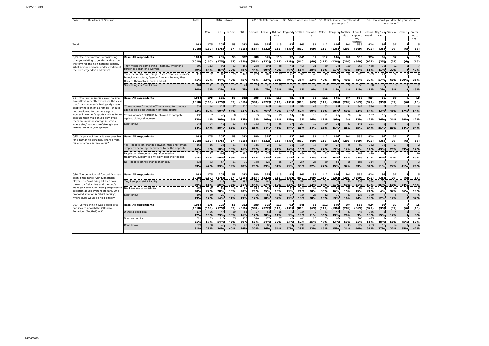| Base: 1,018 Residents of Scotland                                                                                                                                                                                                                                                                                                                                                                         |                                                                                                                                                 | Total<br>2016 Holyrood |                        |                   |                  |                   |                   | 2016 EU Referendum |                       |                 | D3. Where were you born? |                       |                  | D5. Which, if any, football club do<br>you support? |                   |                                        | D6. How would you describe your sexual<br>orientation? |                                  |                        |              |                         |  |
|-----------------------------------------------------------------------------------------------------------------------------------------------------------------------------------------------------------------------------------------------------------------------------------------------------------------------------------------------------------------------------------------------------------|-------------------------------------------------------------------------------------------------------------------------------------------------|------------------------|------------------------|-------------------|------------------|-------------------|-------------------|--------------------|-----------------------|-----------------|--------------------------|-----------------------|------------------|-----------------------------------------------------|-------------------|----------------------------------------|--------------------------------------------------------|----------------------------------|------------------------|--------------|-------------------------|--|
|                                                                                                                                                                                                                                                                                                                                                                                                           |                                                                                                                                                 |                        | Con                    | Lab               | Lib Dem          | SNP               | Remain            | Leave              | Did not<br>vote       |                 | England: Scotlan<br>d    | Elsewhe<br>re         | Celtic           | Rangers Another                                     | club              | I don't<br>support<br>any<br>$A + B -$ | exual                                                  | Heteros Gay/Les Bisexual<br>bian |                        | Other        | Prefer<br>not to<br>say |  |
| Total                                                                                                                                                                                                                                                                                                                                                                                                     |                                                                                                                                                 | 1018<br>(1018)         | 175<br>(160)           | 205<br>(175)      | 58<br>(57)       | 322<br>(356)      | 580<br>(584)      | 325<br>(322)       | 113<br>(112)          | 92<br>(139)     | 845<br>(810)             | 81<br>(69)            | 112<br>(112)     | 146<br>(136)                                        | 204<br>(201)      | 556<br>(569)                           | 924<br>(922)                                           | 36<br>(35)                       | 37<br>(39)             | 51<br>(6)    | 15<br>(16)              |  |
|                                                                                                                                                                                                                                                                                                                                                                                                           |                                                                                                                                                 |                        |                        |                   |                  |                   |                   |                    |                       |                 |                          |                       |                  |                                                     |                   |                                        |                                                        |                                  |                        |              |                         |  |
| Q23. The Government is considering<br>changes relating to gender and sex on<br>the form for the next national census.<br>What is your personal understanding of<br>the words "gender" and "sex"?                                                                                                                                                                                                          | <b>Base: All respondents</b>                                                                                                                    | 1018<br>(1018)         | 175<br>(160)           | 205<br>(175)      | 58<br>(57)       | 322<br>(356)      | 580<br>(584)      | 325<br>(322)       | 113<br>(112)          | 92<br>(139)     | 845<br>(810)             | 81<br>(69)            | 112<br>(112)     | 146<br>(136)                                        | 204<br>(201)      | 556<br>(569)                           | 924<br>(922)                                           | 36<br>(35)                       | 37<br>(39)             | 5<br>(6)     | 15<br>(16)              |  |
|                                                                                                                                                                                                                                                                                                                                                                                                           | hey mean the same thing - namely, whether a<br>person is a man or a woman.                                                                      | 501<br>49%             | 113<br>64%             | 92<br>45%         | 23<br>39%        | 155<br>48%        | 258<br>44%        | 196<br>60%         | 48<br>42%             | 42<br>46%       | 428<br>51%               | 31<br>38%             | 60<br>53%        | 74<br>51%                                           | 100<br>49%        | 268<br>48%                             | 468<br>51%                                             | 15<br>41%                        | 12 <sub>1</sub><br>32% | $\mathbf{0}$ | 47%                     |  |
|                                                                                                                                                                                                                                                                                                                                                                                                           | They mean different things - "sex" means a person's<br>biological structure, "gender" means the way they<br>think of themselves, dress and act. | 413<br>41%             | 52<br>30%              | 89<br>44%         | 29<br>49%        | 143<br>45%        | 269<br>46%        | 106<br>33%         | 37<br>33%             | 45<br>49%       | 325<br>38%               | 4<br>53%              | 45<br>40%        | 56<br>38%                                           | 82<br>40%         | 229<br>41%                             | 359<br>39%                                             | 21<br>57%                        | 22<br>60%              | 100%         | 38%                     |  |
|                                                                                                                                                                                                                                                                                                                                                                                                           | Something else/don't know                                                                                                                       | 104<br>10%             | 11<br>6%               | 24<br>12%         | 12%              | 24<br>7%          | 53<br>9%          | 23<br>7%           | 29<br>25%             | 5%              | 92<br>11%                | 9%                    | 6%               | 16<br>11%                                           | 22<br>11%         | 59<br>11%                              | 98<br>11%                                              | 3%                               | 8%                     | $\bullet$    | 15%                     |  |
|                                                                                                                                                                                                                                                                                                                                                                                                           |                                                                                                                                                 |                        |                        |                   |                  |                   |                   |                    |                       |                 |                          |                       |                  |                                                     |                   |                                        |                                                        |                                  |                        |              |                         |  |
| Q24. The former tennis player Martina<br>Navratilova recently expressed the view<br>that "trans women" - biologically-male<br>people who identify as female - should<br>not be allowed to compete against<br>women in women's sports such as tennis<br>because their male physiology gives<br>them an unfair advantage in sports<br>where size/musculature/strength are<br>factors. What is your opinion? | <b>Base: All respondents</b>                                                                                                                    | 1018<br>(1018)         | 175<br>(160)           | 205<br>(175)      | 58<br>(57)       | 322<br>(356)      | 580<br>(584)      | 325<br>(322)       | 113<br>(112)          | 92<br>(139)     | 845<br>(810)             | 81<br>(69)            | 112<br>(112)     | 146<br>(136)                                        | 204<br>(201)      | 556<br>(569)                           | 924<br>(922)                                           | 36<br>(35)                       | 37<br>(39)             | 5.<br>(6)    | 15<br>(16)              |  |
|                                                                                                                                                                                                                                                                                                                                                                                                           | Trans women" should NOT be allowed to compete<br>against biological women in physical sports                                                    | 638<br>63%             | 144<br>82%             | 123<br>60%        | 37<br>64%        | 200<br>62%        | 341<br>59%        | 248<br>76%         | 48<br>42%             | 61<br>67%       | 528<br>62%               | 48<br>60%             | 63<br>56%        | 87<br>60%                                           | 141<br>69%        | 347<br>62%                             | 596<br>64%                                             | 16<br>43%                        | 17<br>46%              | <b>17%</b>   | 54%                     |  |
|                                                                                                                                                                                                                                                                                                                                                                                                           | 'Trans women" SHOULD be allowed to compete<br>against biological women                                                                          | 137<br>13%             | 4%                     | 40<br>20%         | 15%              | 38<br>12%         | 85<br>15%         | 32<br>10%          | 1 <sup>c</sup><br>17% | 14<br>15%       | 110<br>13%               | 13<br>16%             | 21<br>19%        | 27<br>19%                                           | 20<br>10%         | 68<br>12%                              | 107<br>12%                                             | 13<br>36%                        | 11<br>31%              | 59%          | 12%                     |  |
|                                                                                                                                                                                                                                                                                                                                                                                                           | Don't know                                                                                                                                      | 244<br>24%             | 24<br>14%              | 47<br>20%         | 13<br>22%        | 84<br>26%         | 153<br>26%        | 44<br>14%          | 46<br>41%             | 17<br>19%       | 207<br>25%               | 19<br>24%             | 29<br>26%        | 31<br>21%                                           | 43<br>21%         | 14<br>25%                              | 221<br>24%                                             | 21%                              | 23%                    | 24%          | 34%                     |  |
|                                                                                                                                                                                                                                                                                                                                                                                                           |                                                                                                                                                 |                        |                        |                   |                  |                   |                   |                    |                       |                 |                          |                       |                  |                                                     |                   |                                        |                                                        |                                  |                        |              |                         |  |
| Q25. In your opinion, is it ever possible<br>for a human to genuinely change from<br>male to female or vice versa?                                                                                                                                                                                                                                                                                        | <b>Base: All respondents</b>                                                                                                                    | 1018<br>(1018)         | 175<br>(160)           | 205<br>(175)      | 58<br>(57)       | 322<br>(356)      | 580<br>(584)      | 325<br>(322)       | 113<br>(112)          | 92<br>(139)     | 845<br>(810)             | 81<br>(69)            | 112<br>(112)     | 146<br>(136)                                        | 204<br>(201)      | 556<br>(569)                           | 924<br>(922)                                           | 36<br>(35)                       | 37<br>(39)             | 5.<br>(6)    | 15<br>(16)              |  |
|                                                                                                                                                                                                                                                                                                                                                                                                           | Yes - people can change between male and female<br>simply by declaring themselves to be the opposite                                            | 163<br>16%             | 16<br>9%               | 36<br>18%         | 11<br>18%        | 52<br>16%         | 115<br>20%        | 24<br>8%           | 2 <sup>5</sup><br>21% | 15<br>16%       | 130<br>15%               | 18<br>22%             | 30<br>27%        | 27<br>19%                                           | 25<br>12%         | 80<br>14%                              | 132<br>14%                                             | 15<br>43%                        | 11<br>29%              | 59%          | 12%                     |  |
|                                                                                                                                                                                                                                                                                                                                                                                                           | People can change sex only after medical<br>treatment/surgery to physically alter their bodies.                                                 | 523<br>51%             | 77<br>44%              | 102<br>50%        | 37<br>63%        | 180<br>56%        | 297<br>51%        | 172<br>53%         | 54<br>48%             | 50<br>54%       | 436<br>52%               | 38<br>47%             | 53<br>47%        | 67<br>46%                                           | 114<br>56%        | 289<br>52%                             | 479<br>52%                                             | 17<br>46%                        | 17<br>47%              | n.           | 10<br>69%               |  |
|                                                                                                                                                                                                                                                                                                                                                                                                           | No - people cannot change their sex.                                                                                                            | 332<br>33%             | 83<br>47%              | 67<br>33%         | 11<br>19%        | 90<br>28%         | 168<br>29%        | 128<br>39%         | 35<br>31%             | 27<br>29%       | 279<br>33%               | 26<br>32%             | 30<br>27%        | 51<br>35%                                           | 65<br>32%         | 186<br>33%                             | 314<br>34%                                             | 11%                              | $\mathbf{Q}$<br>24%    | 41%          | 20%                     |  |
|                                                                                                                                                                                                                                                                                                                                                                                                           |                                                                                                                                                 |                        |                        |                   |                  |                   |                   |                    |                       |                 |                          |                       |                  |                                                     |                   |                                        |                                                        |                                  |                        |              |                         |  |
| Q26. The behaviour of football fans has<br>been in the news, with Kilmarnock<br>player Kris Boyd being hit by a coin<br>thrown by Celtic fans and the club's<br>manager Steve Clark being subjected to<br>sectarian abuse by Rangers fans. One<br>proposed solution is "strict liability",<br>where clubs would be held directly                                                                          | <b>Base: All respondents</b>                                                                                                                    | 1018<br>(1018)         | 175<br>(160)           | 205<br>(175)      | 58<br>(57)       | 322<br>(356)      | 580<br>(584)      | 325<br>(322)       | 113<br>112)           | 92<br>(139)     | 845<br>(810)             | 81<br>(69)            | 112<br>112)      | 146<br>(136)                                        | 204<br>(201)      | 556<br>(569)                           | 924<br>922)                                            | 36<br>(35)                       | 37<br>(39)             | 5<br>(6)     | 15<br>(16)              |  |
|                                                                                                                                                                                                                                                                                                                                                                                                           | Yes, I support strict liability<br>No, I oppose strict liability                                                                                | 613<br>60%<br>209      | 106<br>61%<br>39       | 119<br>58%<br>58  | 46<br>78%        | 196<br>61%<br>65  | 370<br>64%<br>114 | 186<br>57%<br>80   | 5<br>50%<br>14        | 57<br>62%<br>17 | 513<br>61%<br>176        | 42<br>52%<br>16       | 61<br>54%<br>40  | 74<br>51%<br>53                                     | 140<br>69%<br>31  | 338<br>61%<br>85                       | 554<br>60%<br>191                                      | 31<br>85%                        | 19<br>51%<br>12        | 64%          | 44%                     |  |
|                                                                                                                                                                                                                                                                                                                                                                                                           | Don't know                                                                                                                                      | 20%<br>196             | 22%<br>30 <sup>1</sup> | 28%<br>29         | 10%              | 20%<br>61         | 20%<br>96         | 25%<br>58          | 13%<br>42             | 19%<br>17       | 21%<br>156               | 20%<br>23             | 35%<br>12        | 36%<br>19                                           | 15%<br>33         | 15%<br>133                             | 21%<br>180                                             | 4%                               | 32%                    | 36%          | 19%                     |  |
|                                                                                                                                                                                                                                                                                                                                                                                                           |                                                                                                                                                 | 19%                    | 17%                    | 14%               | 11%              | 19%               | 17%               | 18%                | 37%                   | 19%             | 18%                      | 28%                   | 10%              | 13%                                                 | 16%               | 24%                                    | 19%                                                    | 12%                              | 17%                    | $\Omega$     | 37%                     |  |
| Q27. Do you think it was a good or a                                                                                                                                                                                                                                                                                                                                                                      | <b>Base: All respondents</b>                                                                                                                    | 1018                   | 175                    | 205               | 58               | 322               | 580               | 325                | 113                   | 92              | 845                      | 81                    | 112              | 146                                                 | 204               | 556                                    | 924                                                    | 36                               | 37                     | 5.           | 15                      |  |
| bad idea to abolish the Offensive<br>Behaviour (Football) Act?                                                                                                                                                                                                                                                                                                                                            | It was a good idea                                                                                                                              | 1018<br>177            | (160)<br>26            | (175)<br>47       | (57)<br>10       | (356)<br>53       | (584)<br>97       | (322)<br>65        | (112)<br>15           | (139)           | (810)<br>159             | (69)                  | (112)<br>41      | (136)<br>47                                         | (201)<br>41       | (569)<br>48                            | 922)<br>166                                            | (35)                             | (39)                   | (6)          | (16)                    |  |
|                                                                                                                                                                                                                                                                                                                                                                                                           | It was a bad idea                                                                                                                               | 17%<br>521<br>51%      | 15%<br>99<br>57%       | 23%<br>110<br>54% | 18%<br>25<br>43% | 16%<br>192<br>60% | 17%<br>310<br>53% | 20%<br>175<br>54%  | 14%<br>37<br>32%      | 9%<br>49<br>53% | 19%<br>443<br>52%        | 11%<br>28<br>35%      | 36%<br>53<br>47% | 33%<br>62<br>43%                                    | 20%<br>120<br>59% | 9%<br>286<br>51%                       | 18%<br>475<br>51%                                      | 15%<br>17<br>48%                 | 12%<br>19<br>51%       | n.<br>45%    | 8%<br>50%               |  |
|                                                                                                                                                                                                                                                                                                                                                                                                           | Don't know                                                                                                                                      | 320<br>31%             | 29%                    | 48<br>24%         | 40%              | 24%               | 173<br>30%        | 86<br>26%          | 61<br>54%             | 34<br>37%       | 242<br>29%               | 4 <sup>5</sup><br>53% | 19<br>16%        | 36<br>25%                                           | 43<br>21%         | 227<br>40%                             | 283<br>31%                                             | 37%                              | 14<br>37%              | 55%          | 42%                     |  |
|                                                                                                                                                                                                                                                                                                                                                                                                           |                                                                                                                                                 |                        |                        |                   |                  |                   |                   |                    |                       |                 |                          |                       |                  |                                                     |                   |                                        |                                                        |                                  |                        |              |                         |  |